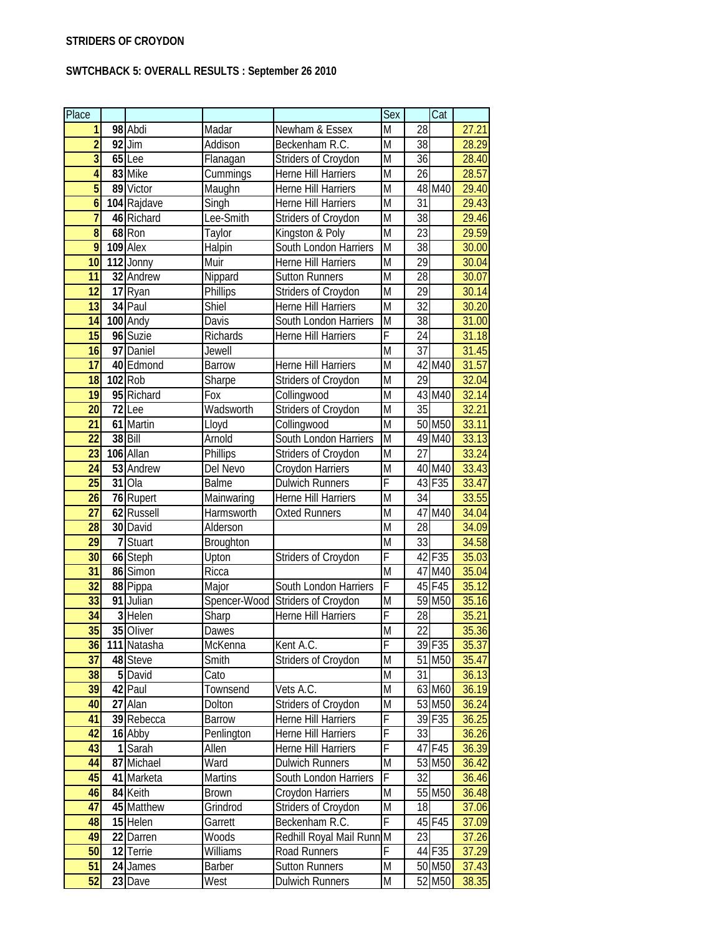## **SWTCHBACK 5: OVERALL RESULTS : September 26 2010**

| Place                   |    |                         |                  |                            | Sex                     |                 | Cat                |                    |
|-------------------------|----|-------------------------|------------------|----------------------------|-------------------------|-----------------|--------------------|--------------------|
| 1                       |    | 98 Abdi                 | Madar            | Newham & Essex             | M                       | 28              |                    | 27.21              |
| $\overline{2}$          |    | 92 Jim                  | Addison          | Beckenham R.C.             | M                       | 38              |                    | 28.29              |
| $\overline{3}$          |    | $65$ Lee                | Flanagan         | Striders of Croydon        | $\overline{M}$          | 36              |                    | 28.40              |
| $\overline{\mathbf{4}}$ |    | 83 Mike                 | Cummings         | Herne Hill Harriers        | $\overline{M}$          | $\overline{26}$ |                    | 28.57              |
| $\overline{5}$          |    | 89 Victor               | Maughn           | Herne Hill Harriers        | $\overline{M}$          |                 | 48 M40             | $\overline{29.40}$ |
| $\boldsymbol{6}$        |    | 104 Rajdave             | Singh            | Herne Hill Harriers        | $\overline{M}$          | $\overline{31}$ |                    | 29.43              |
| $\overline{7}$          |    | 46 Richard              | Lee-Smith        | Striders of Croydon        | $\overline{M}$          | $\overline{38}$ |                    | 29.46              |
| $\overline{8}$          |    | $68$ Ron                | Taylor           | Kingston & Poly            | $\overline{M}$          | $\overline{23}$ |                    | 29.59              |
| 9                       |    | 109 Alex                | Halpin           | South London Harriers      | M                       | 38              |                    | 30.00              |
| 10                      |    | $\overline{1}$ 12 Jonny | Muir             | Herne Hill Harriers        | $\overline{M}$          | 29              |                    | 30.04              |
| $\overline{11}$         |    | 32 Andrew               | Nippard          | <b>Sutton Runners</b>      | $\overline{M}$          | 28              |                    | 30.07              |
| 12                      | 17 | Ryan                    | Phillips         | Striders of Croydon        | $\overline{M}$          | 29              |                    | 30.14              |
| $\overline{13}$         |    | 34 Paul                 | <b>Shiel</b>     | Herne Hill Harriers        | $\overline{\mathsf{M}}$ | $\overline{32}$ |                    | 30.20              |
| 14                      |    | 100 Andy                | Davis            | South London Harriers      | M                       | 38              |                    | 31.00              |
| 15                      |    | 96 Suzie                | Richards         | Herne Hill Harriers        | F                       | 24              |                    | 31.18              |
| $\overline{16}$         |    | 97 Daniel               | Jewell           |                            | $\overline{M}$          | $\overline{37}$ |                    | 31.45              |
| 17                      |    | 40 Edmond               | <b>Barrow</b>    | Herne Hill Harriers        | $\overline{M}$          | 42              | M40                | 31.57              |
| 18                      |    | 102 Rob                 | Sharpe           | Striders of Croydon        | $\overline{M}$          | $\overline{29}$ |                    | 32.04              |
| $\overline{19}$         |    | 95 Richard              | Fox              | Collingwood                | M                       |                 | 43 M40             | 32.14              |
| 20                      |    | 72 Lee                  | Wadsworth        | Striders of Croydon        | $\overline{M}$          | $\overline{35}$ |                    | 32.21              |
| 21                      |    | 61 Martin               | Lloyd            | Collingwood                | $\overline{M}$          |                 | 50 M50             | 33.11              |
| $\overline{22}$         |    | 38 Bill                 | Arnold           | South London Harriers      | $\overline{M}$          |                 | 49 M40             | 33.13              |
| $\overline{23}$         |    | 106 Allan               | Phillips         | Striders of Croydon        | $\overline{M}$          | 27              |                    | 33.24              |
| 24                      |    | 53 Andrew               | Del Nevo         | Croydon Harriers           | M                       |                 | 40 M40             | 33.43              |
| $\overline{25}$         |    | $31$ Ola                | <b>Balme</b>     | Dulwich Runners            | F                       |                 | 43 F35             | 33.47              |
| 26                      |    | 76 Rupert               | Mainwaring       | Herne Hill Harriers        | $\overline{\mathsf{M}}$ | 34              |                    | 33.55              |
| $\overline{27}$         |    | 62 Russell              | Harmsworth       | <b>Oxted Runners</b>       | M                       | 47              | M40                | 34.04              |
| 28                      |    | 30 David                | Alderson         |                            | $\overline{M}$          | 28              |                    | 34.09              |
| 29                      |    | Stuart                  | <b>Broughton</b> |                            | $\overline{M}$          | 33              |                    | 34.58              |
| 30                      |    | 66 Steph                | Upton            | Striders of Croydon        | F                       |                 | 42 F35             | 35.03              |
| 31                      |    | 86 Simon                | Ricca            |                            | M                       | 47              | M40                | 35.04              |
| $\overline{32}$         |    | 88 Pippa                | Major            | South London Harriers      | F                       |                 | 45 F45             | 35.12              |
| $\overline{33}$         |    | 91 Julian               | Spencer-Wood     | Striders of Croydon        | M                       |                 | 59 M <sub>50</sub> | 35.16              |
| 34                      |    | $3$ Helen               | Sharp            | <b>Herne Hill Harriers</b> | F                       | 28              |                    | 35.21              |
| 35                      |    | 35 Oliver               | Dawes            |                            | $\overline{\mathsf{M}}$ | $\overline{22}$ |                    | 35.36              |
| 36                      |    | 111 Natasha             | McKenna          | Kent A.C.                  | F                       |                 | 39 F35             | 35.37              |
| 37                      |    | 48 Steve                | Smith            | Striders of Croydon        | M                       | 51              | M50                | 35.47              |
| 38                      |    | 5 David                 | Cato             |                            | M                       | 31              |                    | 36.13              |
| 39                      |    | 42 Paul                 | Townsend         | Vets A.C.                  | M                       |                 | 63 M60             | 36.19              |
| 40                      |    | 27 Alan                 | Dolton           | Striders of Croydon        | M                       |                 | 53 M50             | 36.24              |
| 41                      |    | 39 Rebecca              | <b>Barrow</b>    | Herne Hill Harriers        | F                       |                 | 39 F35             | 36.25              |
| 42                      |    | 16 Abby                 | Penlington       | Herne Hill Harriers        | F                       | 33              |                    | 36.26              |
| 43                      |    | 1Sarah                  | Allen            | Herne Hill Harriers        | F                       |                 | 47 F45             | 36.39              |
| 44                      |    | 87 Michael              | Ward             | <b>Dulwich Runners</b>     | M                       |                 | 53 M50             | 36.42              |
| 45                      |    | 41 Marketa              | Martins          | South London Harriers      | F                       | 32              |                    | 36.46              |
| 46                      |    | 84 Keith                | Brown            | Croydon Harriers           | M                       |                 | 55 M50             | 36.48              |
| 47                      |    | 45 Matthew              | Grindrod         | Striders of Croydon        | M                       | 18              |                    | 37.06              |
| 48                      |    | 15 Helen                | Garrett          | Beckenham R.C.             | F                       |                 | 45 F45             | 37.09              |
| 49                      |    | 22 Darren               | Woods            | Redhill Royal Mail Runn M  |                         | 23              |                    | 37.26              |
| 50                      |    | 12 Terrie               | Williams         | Road Runners               | F                       |                 | 44 F35             | 37.29              |
| 51                      |    | 24 James                | Barber           | <b>Sutton Runners</b>      | M                       |                 | 50 M50             | 37.43              |
| 52                      |    | 23 Dave                 | West             | <b>Dulwich Runners</b>     | M                       |                 | 52 M50             | 38.35              |